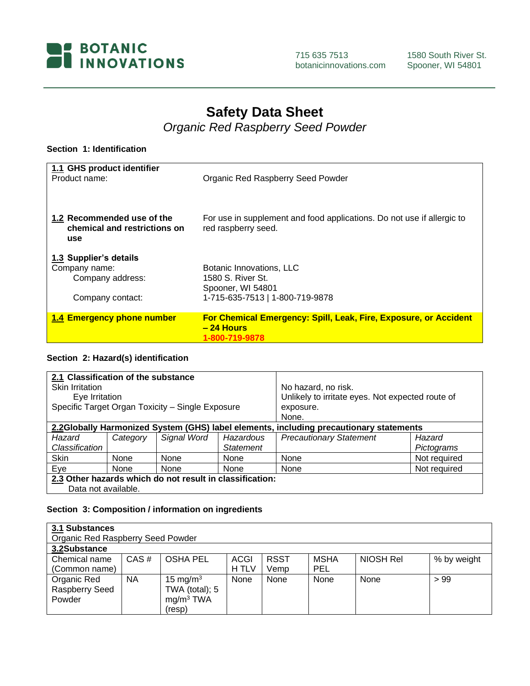

715 635 7513 botanicinnovations.com

# **Safety Data Sheet**

*Organic Red Raspberry Seed Powder*

## **Section 1: Identification**

| 1.1 GHS product identifier<br>Product name:                                     | Organic Red Raspberry Seed Powder                                                                     |
|---------------------------------------------------------------------------------|-------------------------------------------------------------------------------------------------------|
| 1.2 Recommended use of the<br>chemical and restrictions on<br>use               | For use in supplement and food applications. Do not use if allergic to<br>red raspberry seed.         |
| 1.3 Supplier's details<br>Company name:<br>Company address:<br>Company contact: | Botanic Innovations, LLC<br>1580 S. River St.<br>Spooner, WI 54801<br>1-715-635-7513   1-800-719-9878 |
| 1.4 Emergency phone number                                                      | For Chemical Emergency: Spill, Leak, Fire, Exposure, or Accident<br>$-24$ Hours<br>1-800-719-9878     |

## **Section 2: Hazard(s) identification**

| 2.1 Classification of the substance<br><b>Skin Irritation</b><br>Eye Irritation        |                                                          | Specific Target Organ Toxicity - Single Exposure |                  | No hazard, no risk.<br>Unlikely to irritate eyes. Not expected route of<br>exposure. |              |
|----------------------------------------------------------------------------------------|----------------------------------------------------------|--------------------------------------------------|------------------|--------------------------------------------------------------------------------------|--------------|
|                                                                                        |                                                          |                                                  |                  | None.                                                                                |              |
| 2.2Globally Harmonized System (GHS) label elements, including precautionary statements |                                                          |                                                  |                  |                                                                                      |              |
| Hazard                                                                                 | Category                                                 | Signal Word                                      | Hazardous        | <b>Precautionary Statement</b>                                                       | Hazard       |
| Classification                                                                         |                                                          |                                                  | <b>Statement</b> |                                                                                      | Pictograms   |
| Skin                                                                                   | None                                                     | None                                             | None             | None                                                                                 | Not required |
| Eye                                                                                    | None                                                     | None                                             | None             | None                                                                                 | Not required |
|                                                                                        | 2.3 Other hazards which do not result in classification: |                                                  |                  |                                                                                      |              |
| Data not available.                                                                    |                                                          |                                                  |                  |                                                                                      |              |

## **Section 3: Composition / information on ingredients**

| 3.1 Substances |                                   |                       |       |             |             |           |             |
|----------------|-----------------------------------|-----------------------|-------|-------------|-------------|-----------|-------------|
|                | Organic Red Raspberry Seed Powder |                       |       |             |             |           |             |
| 3.2Substance   |                                   |                       |       |             |             |           |             |
| Chemical name  | CAS#                              | <b>OSHA PEL</b>       | ACGI  | <b>RSST</b> | <b>MSHA</b> | NIOSH Rel | % by weight |
| (Common name)  |                                   |                       | H TLV | Vemp        | PEL         |           |             |
| Organic Red    | <b>NA</b>                         | 15 mg/m $3$           | None  | None        | None        | None      | >99         |
| Raspberry Seed |                                   | TWA (total); 5        |       |             |             |           |             |
| Powder         |                                   | mg/m <sup>3</sup> TWA |       |             |             |           |             |
|                |                                   | (resp)                |       |             |             |           |             |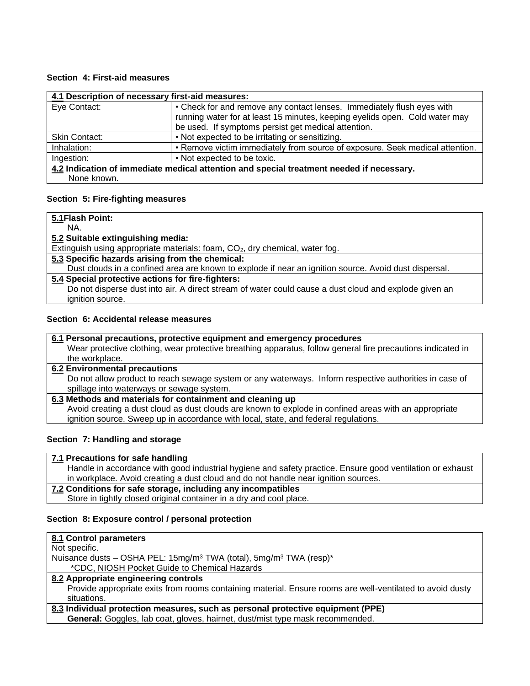## **Section 4: First-aid measures**

| 4.1 Description of necessary first-aid measures:                                         |                                                                                                                                                                                                              |  |  |
|------------------------------------------------------------------------------------------|--------------------------------------------------------------------------------------------------------------------------------------------------------------------------------------------------------------|--|--|
| Eye Contact:                                                                             | • Check for and remove any contact lenses. Immediately flush eyes with<br>running water for at least 15 minutes, keeping eyelids open. Cold water may<br>be used. If symptoms persist get medical attention. |  |  |
| <b>Skin Contact:</b>                                                                     | • Not expected to be irritating or sensitizing.                                                                                                                                                              |  |  |
| Inhalation:                                                                              | • Remove victim immediately from source of exposure. Seek medical attention.                                                                                                                                 |  |  |
| Ingestion:                                                                               | • Not expected to be toxic.                                                                                                                                                                                  |  |  |
| 4.2 Indication of immediate medical attention and special treatment needed if necessary. |                                                                                                                                                                                                              |  |  |
| None known.                                                                              |                                                                                                                                                                                                              |  |  |

#### **Section 5: Fire-fighting measures**

| 5.1 Flash Point:                                                                                      |
|-------------------------------------------------------------------------------------------------------|
| NA.                                                                                                   |
| 5.2 Suitable extinguishing media:                                                                     |
| Extinguish using appropriate materials: foam, CO <sub>2</sub> , dry chemical, water fog.              |
| 5.3 Specific hazards arising from the chemical:                                                       |
| Dust clouds in a confined area are known to explode if near an ignition source. Avoid dust dispersal. |
| 5.4 Special protective actions for fire-fighters:                                                     |
| Do not disperse dust into air. A direct stream of water could cause a dust cloud and explode given an |
| ignition source.                                                                                      |

## **Section 6: Accidental release measures**

| 6.1 Personal precautions, protective equipment and emergency procedures<br>Wear protective clothing, wear protective breathing apparatus, follow general fire precautions indicated in<br>the workplace. |
|----------------------------------------------------------------------------------------------------------------------------------------------------------------------------------------------------------|
| <b>6.2 Environmental precautions</b>                                                                                                                                                                     |
| Do not allow product to reach sewage system or any waterways. Inform respective authorities in case of                                                                                                   |
| spillage into waterways or sewage system.                                                                                                                                                                |
| 6.3 Methods and materials for containment and cleaning up                                                                                                                                                |
| Avoid creating a dust cloud as dust clouds are known to explode in confined areas with an appropriate                                                                                                    |
| ignition source. Sweep up in accordance with local, state, and federal regulations.                                                                                                                      |

#### **Section 7: Handling and storage**

| 7.1 Precautions for safe handling                                                                         |
|-----------------------------------------------------------------------------------------------------------|
| Handle in accordance with good industrial hygiene and safety practice. Ensure good ventilation or exhaust |
| in workplace. Avoid creating a dust cloud and do not handle near ignition sources.                        |
| 7.2 Conditions for safe storage, including any incompatibles                                              |
|                                                                                                           |

Store in tightly closed original container in a dry and cool place.

## **Section 8: Exposure control / personal protection**

| 8.1 Control parameters                                                                                    |
|-----------------------------------------------------------------------------------------------------------|
| Not specific.                                                                                             |
| Nuisance dusts – OSHA PEL: 15mg/m <sup>3</sup> TWA (total), 5mg/m <sup>3</sup> TWA (resp)*                |
| *CDC, NIOSH Pocket Guide to Chemical Hazards                                                              |
| 8.2 Appropriate engineering controls                                                                      |
| Provide appropriate exits from rooms containing material. Ensure rooms are well-ventilated to avoid dusty |
| situations.                                                                                               |
| 8.3 Individual protection measures, such as personal protective equipment (PPE)                           |
| General: Goggles, lab coat, gloves, hairnet, dust/mist type mask recommended.                             |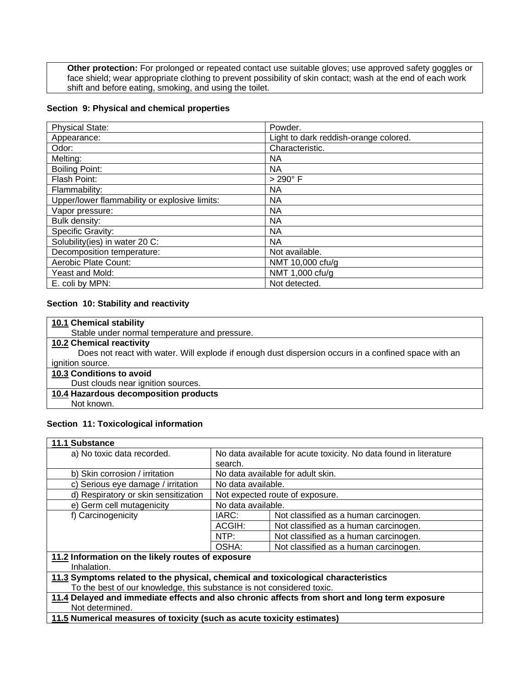**Other protection:** For prolonged or repeated contact use suitable gloves; use approved safety goggles or face shield; wear appropriate clothing to prevent possibility of skin contact; wash at the end of each work shift and before eating, smoking, and using the toilet.

#### **Section 9: Physical and chemical properties**

| <b>Physical State:</b>                        | Powder.                               |
|-----------------------------------------------|---------------------------------------|
| Appearance:                                   | Light to dark reddish-orange colored. |
| Odor:                                         | Characteristic.                       |
| Melting:                                      | ΝA                                    |
| <b>Boiling Point:</b>                         | NА                                    |
| Flash Point:                                  | $>290^\circ$ F                        |
| Flammability:                                 | ΝA                                    |
| Upper/lower flammability or explosive limits: | ΝA                                    |
| Vapor pressure:                               | <b>NA</b>                             |
| Bulk density:                                 | <b>NA</b>                             |
| Specific Gravity:                             | <b>NA</b>                             |
| Solubility (ies) in water 20 C:               | <b>NA</b>                             |
| Decomposition temperature:                    | Not available.                        |
| Aerobic Plate Count:                          | NMT 10,000 cfu/g                      |
| Yeast and Mold:                               | NMT 1,000 cfu/g                       |
| E. coli by MPN:                               | Not detected.                         |

## **Section 10: Stability and reactivity**

| 10.1 Chemical stability                                                                              |
|------------------------------------------------------------------------------------------------------|
| Stable under normal temperature and pressure.                                                        |
| <b>10.2 Chemical reactivity</b>                                                                      |
| Does not react with water. Will explode if enough dust dispersion occurs in a confined space with an |
| ignition source.                                                                                     |
| 10.3 Conditions to avoid                                                                             |
| Dust clouds near ignition sources.                                                                   |
| 10.4 Hazardous decomposition products                                                                |
| Not known.                                                                                           |

## **Section 11: Toxicological information**

| <b>11.1 Substance</b>                                                             |                                                                   |                                                                                               |  |  |
|-----------------------------------------------------------------------------------|-------------------------------------------------------------------|-----------------------------------------------------------------------------------------------|--|--|
| a) No toxic data recorded.                                                        | No data available for acute toxicity. No data found in literature |                                                                                               |  |  |
|                                                                                   | search.                                                           |                                                                                               |  |  |
| b) Skin corrosion / irritation                                                    | No data available for adult skin.                                 |                                                                                               |  |  |
| c) Serious eye damage / irritation                                                | No data available.                                                |                                                                                               |  |  |
| d) Respiratory or skin sensitization                                              | Not expected route of exposure.                                   |                                                                                               |  |  |
| e) Germ cell mutagenicity                                                         | No data available.                                                |                                                                                               |  |  |
| f) Carcinogenicity                                                                | IARC:                                                             | Not classified as a human carcinogen.                                                         |  |  |
|                                                                                   | ACGIH:                                                            | Not classified as a human carcinogen.                                                         |  |  |
|                                                                                   | NTP:                                                              | Not classified as a human carcinogen.                                                         |  |  |
|                                                                                   | OSHA:<br>Not classified as a human carcinogen.                    |                                                                                               |  |  |
| 11.2 Information on the likely routes of exposure                                 |                                                                   |                                                                                               |  |  |
| Inhalation.                                                                       |                                                                   |                                                                                               |  |  |
| 11.3 Symptoms related to the physical, chemical and toxicological characteristics |                                                                   |                                                                                               |  |  |
| To the best of our knowledge, this substance is not considered toxic.             |                                                                   |                                                                                               |  |  |
|                                                                                   |                                                                   | 11.4 Delayed and immediate effects and also chronic affects from short and long term exposure |  |  |
| Not determined.                                                                   |                                                                   |                                                                                               |  |  |
| 11.5 Numerical measures of toxicity (such as acute toxicity estimates)            |                                                                   |                                                                                               |  |  |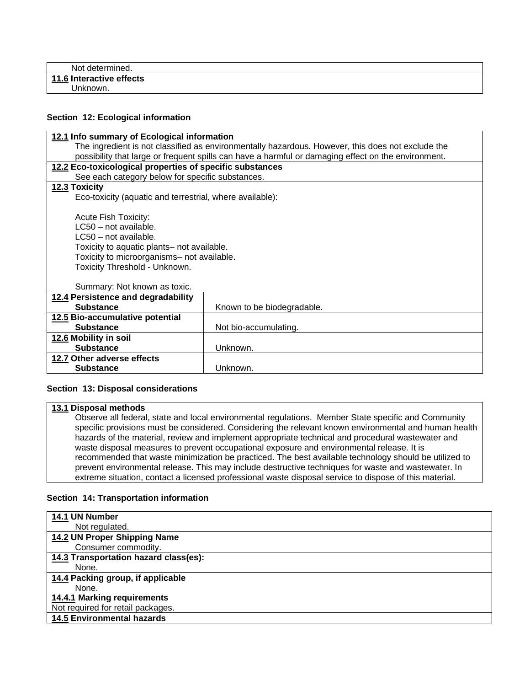| Not determined.          |  |
|--------------------------|--|
| 11.6 Interactive effects |  |
| Unknown.                 |  |

## **Section 12: Ecological information**

|                                                                                                     | 12.1 Info summary of Ecological information |  |  |  |  |
|-----------------------------------------------------------------------------------------------------|---------------------------------------------|--|--|--|--|
| The ingredient is not classified as environmentally hazardous. However, this does not exclude the   |                                             |  |  |  |  |
| possibility that large or frequent spills can have a harmful or damaging effect on the environment. |                                             |  |  |  |  |
| 12.2 Eco-toxicological properties of specific substances                                            |                                             |  |  |  |  |
| See each category below for specific substances.                                                    |                                             |  |  |  |  |
| 12.3 Toxicity                                                                                       |                                             |  |  |  |  |
| Eco-toxicity (aquatic and terrestrial, where available):                                            |                                             |  |  |  |  |
|                                                                                                     |                                             |  |  |  |  |
| Acute Fish Toxicity:                                                                                |                                             |  |  |  |  |
| LC50 - not available.                                                                               |                                             |  |  |  |  |
| $LC50$ – not available.                                                                             |                                             |  |  |  |  |
| Toxicity to aquatic plants- not available.                                                          |                                             |  |  |  |  |
| Toxicity to microorganisms- not available.                                                          |                                             |  |  |  |  |
| Toxicity Threshold - Unknown.                                                                       |                                             |  |  |  |  |
|                                                                                                     |                                             |  |  |  |  |
| Summary: Not known as toxic.                                                                        |                                             |  |  |  |  |
| 12.4 Persistence and degradability                                                                  |                                             |  |  |  |  |
| <b>Substance</b>                                                                                    | Known to be biodegradable.                  |  |  |  |  |
| 12.5 Bio-accumulative potential                                                                     |                                             |  |  |  |  |
| <b>Substance</b>                                                                                    | Not bio-accumulating.                       |  |  |  |  |
| 12.6 Mobility in soil                                                                               |                                             |  |  |  |  |
| <b>Substance</b>                                                                                    | Unknown.                                    |  |  |  |  |
| 12.7 Other adverse effects                                                                          |                                             |  |  |  |  |
| <b>Substance</b>                                                                                    | Unknown.                                    |  |  |  |  |

#### **Section 13: Disposal considerations**

#### **13.1 Disposal methods**

Observe all federal, state and local environmental regulations. Member State specific and Community specific provisions must be considered. Considering the relevant known environmental and human health hazards of the material, review and implement appropriate technical and procedural wastewater and waste disposal measures to prevent occupational exposure and environmental release. It is recommended that waste minimization be practiced. The best available technology should be utilized to prevent environmental release. This may include destructive techniques for waste and wastewater. In extreme situation, contact a licensed professional waste disposal service to dispose of this material.

## **Section 14: Transportation information**

| 14.1 UN Number                        |
|---------------------------------------|
| Not regulated.                        |
| 14.2 UN Proper Shipping Name          |
| Consumer commodity.                   |
| 14.3 Transportation hazard class(es): |
| None.                                 |
| 14.4 Packing group, if applicable     |
| None.                                 |
| 14.4.1 Marking requirements           |
| Not required for retail packages.     |
| <b>14.5 Environmental hazards</b>     |